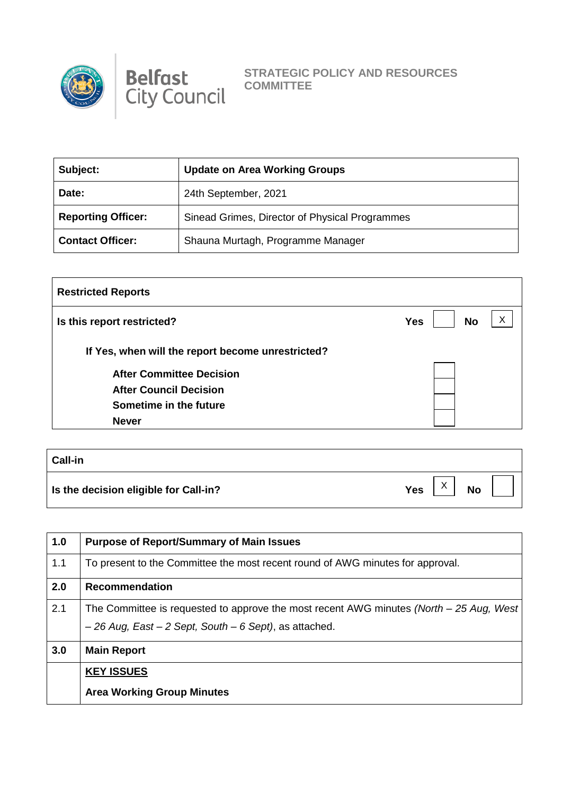



**STRATEGIC POLICY AND RESOURCES COMMITTEE** 

| Subject:                  | <b>Update on Area Working Groups</b>           |
|---------------------------|------------------------------------------------|
| Date:                     | 24th September, 2021                           |
| <b>Reporting Officer:</b> | Sinead Grimes, Director of Physical Programmes |
| <b>Contact Officer:</b>   | Shauna Murtagh, Programme Manager              |

| <b>Restricted Reports</b>                         |                              |
|---------------------------------------------------|------------------------------|
| Is this report restricted?                        | Х<br><b>No</b><br><b>Yes</b> |
| If Yes, when will the report become unrestricted? |                              |
| <b>After Committee Decision</b>                   |                              |
| <b>After Council Decision</b>                     |                              |
| Sometime in the future                            |                              |
| <b>Never</b>                                      |                              |

| <b>Call-in</b>                        |     |                           |           |  |
|---------------------------------------|-----|---------------------------|-----------|--|
| Is the decision eligible for Call-in? | Yes | $\checkmark$<br>$\lambda$ | <b>No</b> |  |

| 1.0 | <b>Purpose of Report/Summary of Main Issues</b>                                            |
|-----|--------------------------------------------------------------------------------------------|
| 1.1 | To present to the Committee the most recent round of AWG minutes for approval.             |
| 2.0 | <b>Recommendation</b>                                                                      |
| 2.1 | The Committee is requested to approve the most recent AWG minutes (North $-$ 25 Aug, West) |
|     | $-26$ Aug, East $-2$ Sept, South $-6$ Sept), as attached.                                  |
| 3.0 | <b>Main Report</b>                                                                         |
|     | <b>KEY ISSUES</b>                                                                          |
|     | <b>Area Working Group Minutes</b>                                                          |